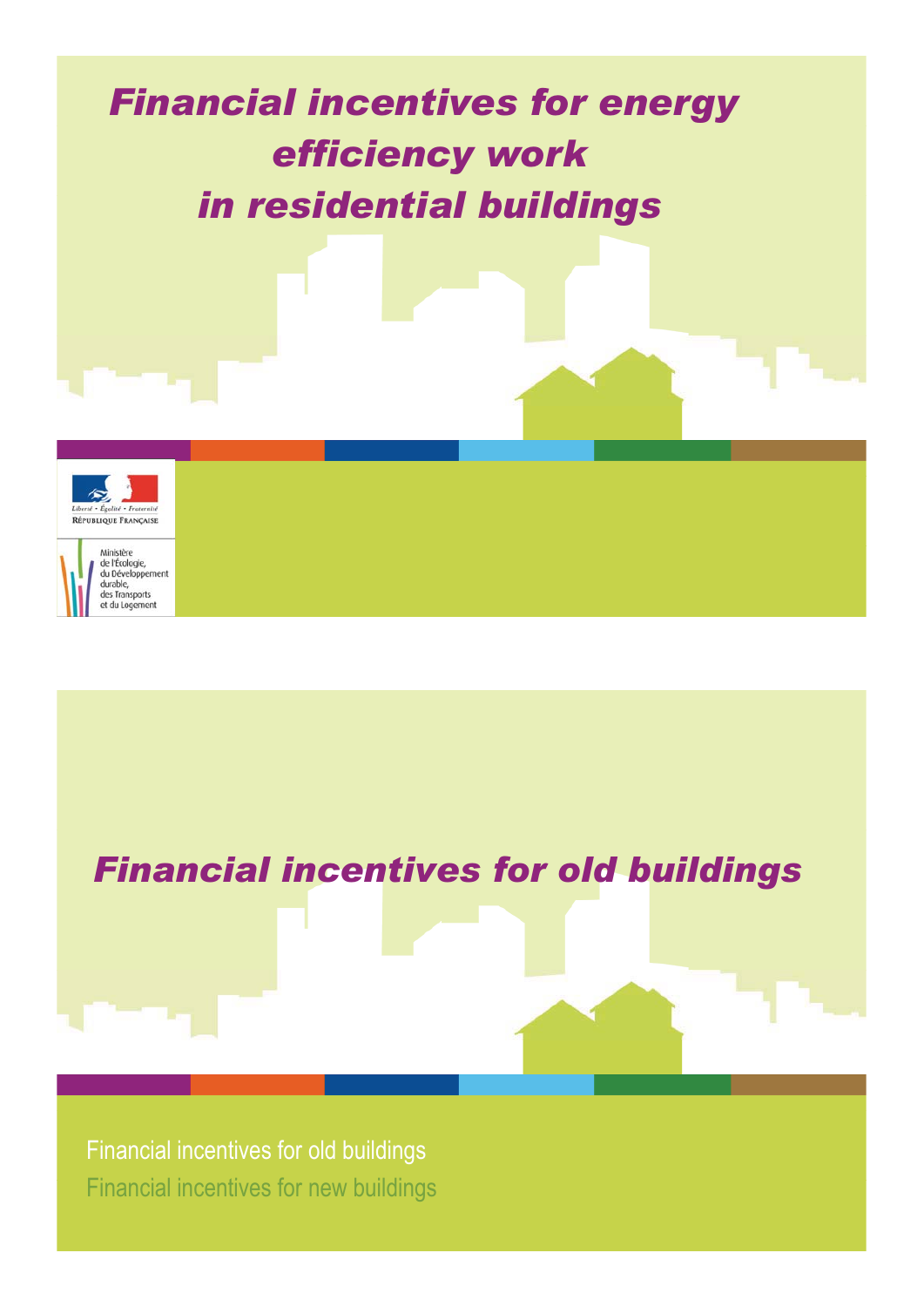# *Financial incentives for energy efficiency work* **in residential buildings**



## *Financial incentives for old buildings*

Financial incentives for old buildings Financial incentives for new buildings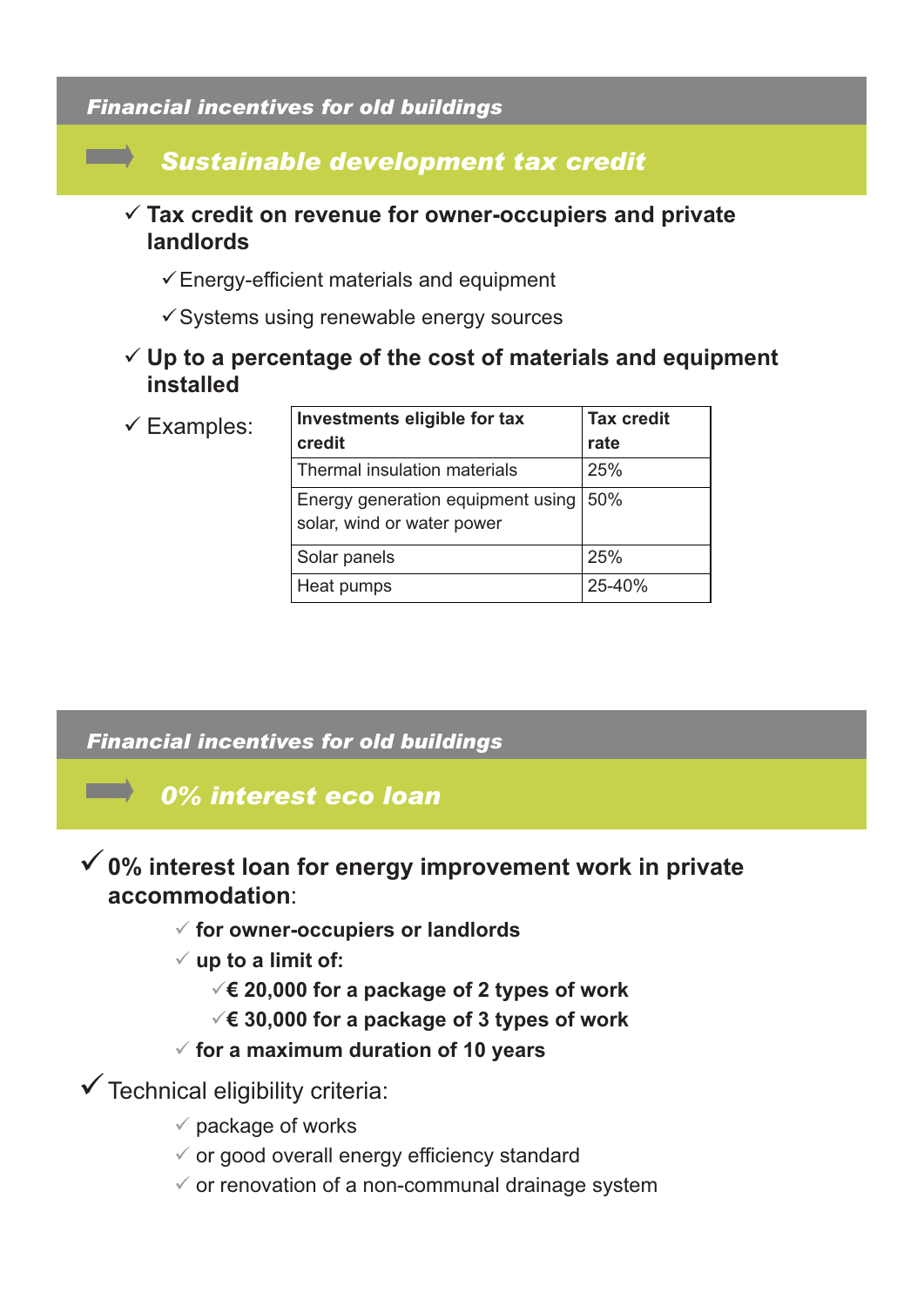### *Financial incentives for old buildings*

**The Co** 

### *Sustainable development tax credit* - **Tax credit on revenue for owner-occupiers and private landlords** -Energy-efficient materials and equipment -Systems using renewable energy sources - **Up to a percentage of the cost of materials and equipment installed**  $\checkmark$  Examples: **Investments eligible for tax credit Tax credit rate** Thermal insulation materials 25% Energy generation equipment using 50%

# solar, wind or water power Solar panels 25% Heat pumps 25-40%

### *Financial incentives for old buildings*

### *0% interest eco loan*

### -**0% interest loan for energy improvement work in private accommodation**:

- **for owner-occupiers or landlords**
- **up to a limit of:** 
	- -**€ 20,000 for a package of 2 types of work**
	- -**€ 30,000 for a package of 3 types of work**
- **for a maximum duration of 10 years**

-Technical eligibility criteria:

- $\checkmark$  package of works
- or good overall energy efficiency standard
- $\checkmark$  or renovation of a non-communal drainage system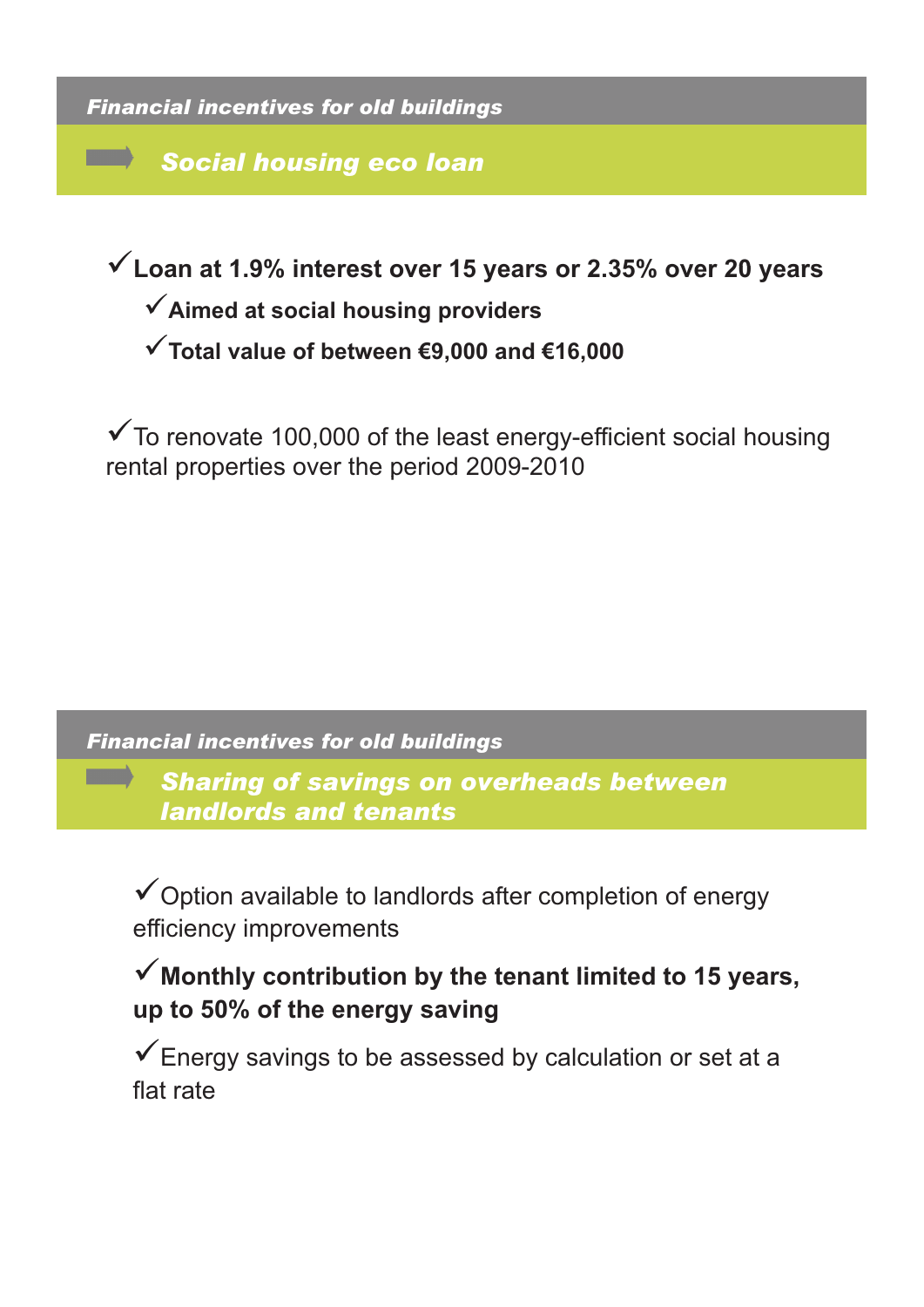*Financial incentives for old buildings*

**The Company** 

**START OF BUILDING** 

*Social housing eco loan*

-**Loan at 1 9% interest over 15 years or 2 35% over 20 years 1.9% 15 years 2.35%** 

-**Aimed at social housing providers**

-**Total value of between €9,000 and €16,000**

-To renovate 100,000 of the least energy-efficient social housing rental properties over the period 2009-2010

*Financial incentives for old buildings*

*Sharing of savings on overheads between landlords and tenants*

-Option available to landlords after completion of energy efficiency improvements

## Monthly contribution by the tenant limited to 15 years, **up to 50% of the energy saving**

-Energy savings to be assessed by calculation or set at a flat rate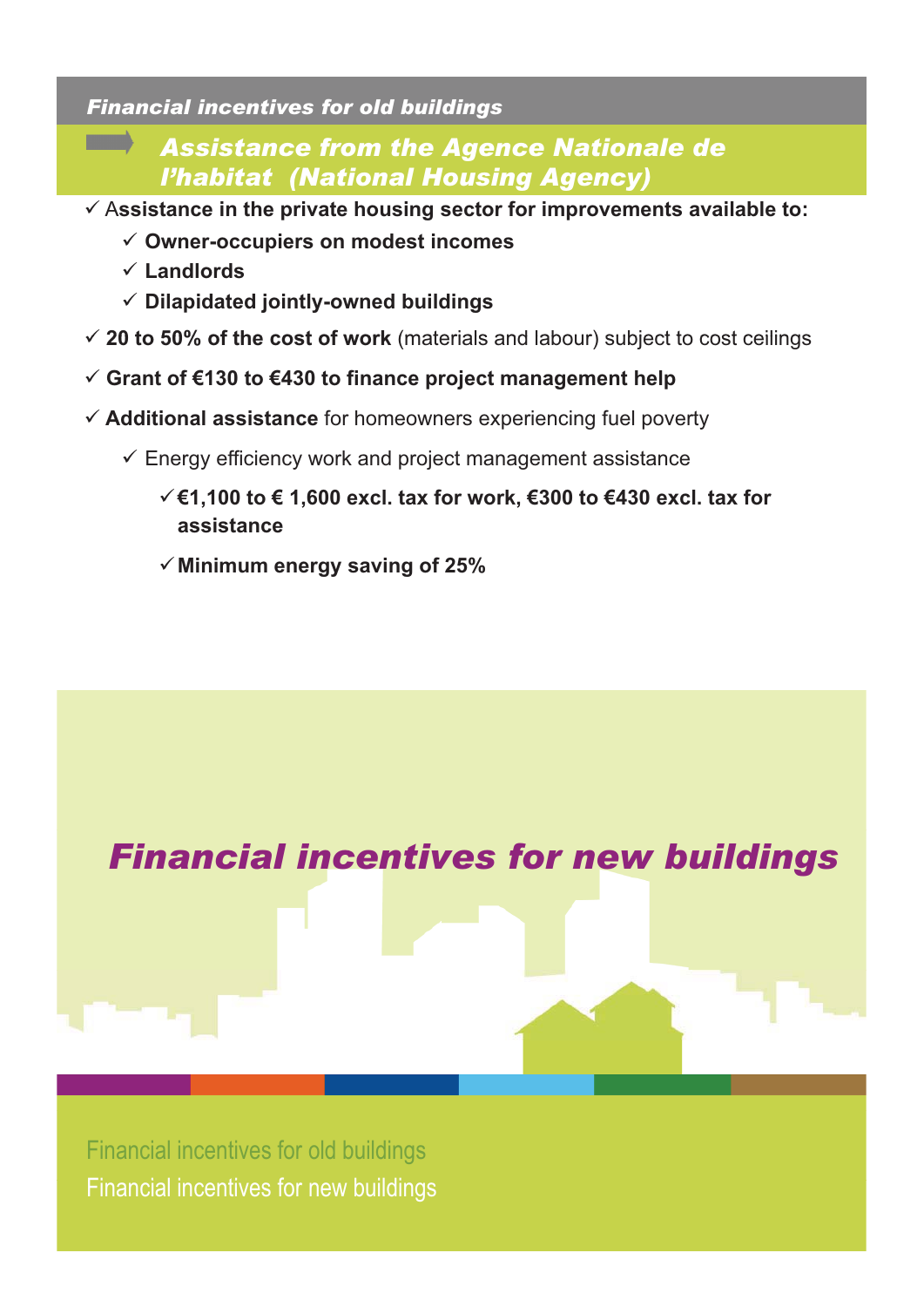### *Financial incentives for old buildings*

### *Assistance from the Agence Nationale de l'habitat (National Housing Agency)*

- A**ssistance in the private housing sector for improvements available to:**
	- **Owner-occupiers on modest incomes**
	- $\times$  Landlords
	- **Dilapidated jointly-owned buildings**
- **20 to 50% of the cost of work** (materials and labour) subject to cost ceilings
- **Grant of €130 to €430 to finance project management help**
- **Additional assistance** for homeowners experiencing fuel poverty
	- Energy efficiency work and project management assistance
		- -**€1,100 to € 1,600 excl. tax for work, €300 to €430 excl. tax for assistance**
		- -**Minimum energy saving of 25%**



Financial incentives for old buildings Financial incentives for new buildings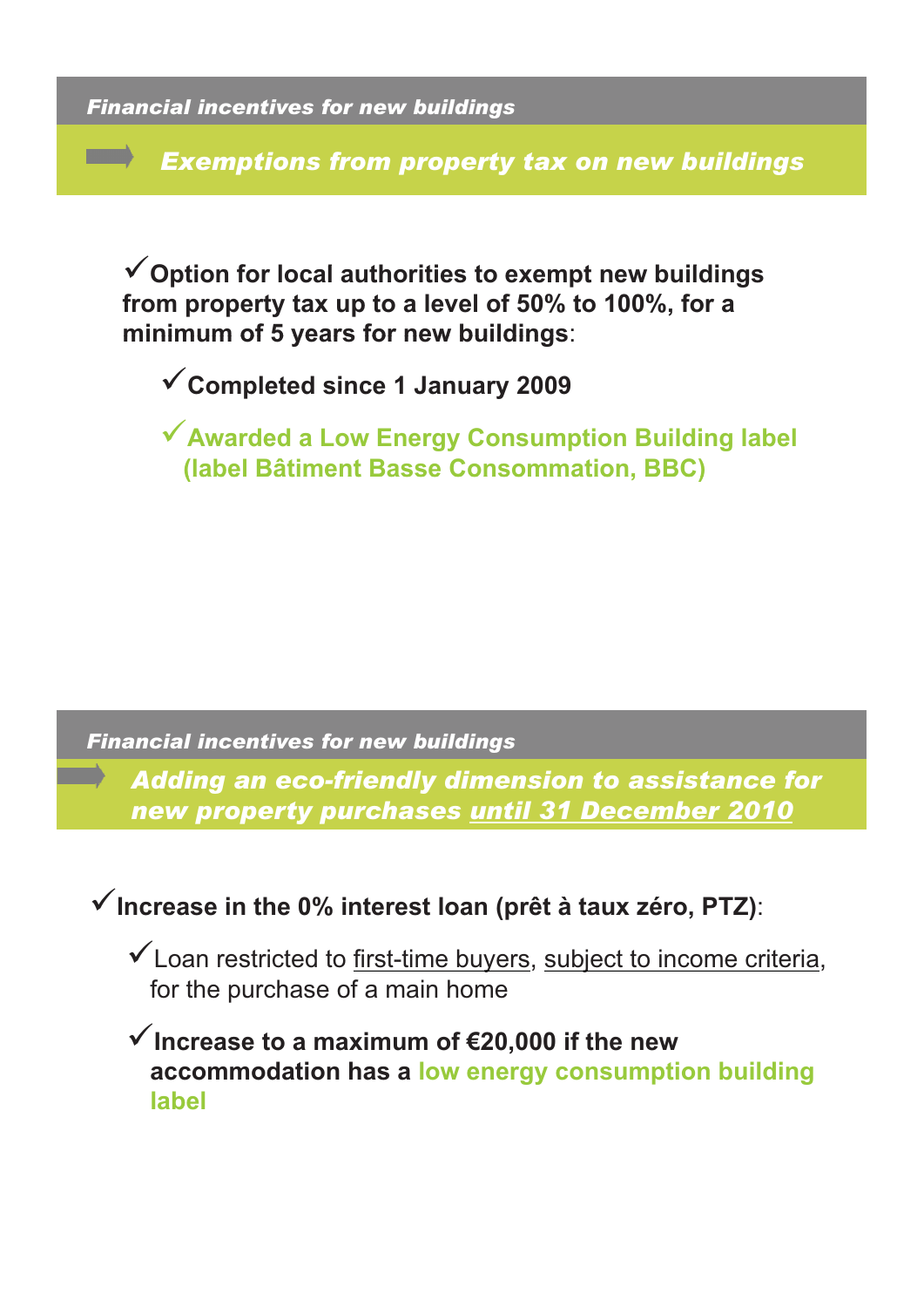*Financial incentives for new buildings*

**The Company** 

*Exemptions from property tax on new buildings* 

-**O ti f l l th iti t t b ildi Option for local authorities to exempt new buildings from property tax up to a level of 50% to 100%, for a minimum of 5 years for new buildings**:

-**Completed since 1 January 2009**

-**Awarded a Low Energy Consumption Building label (label Bâtiment Basse Consommation, BBC)**

*Financial incentives for new buildings*

*Adding an eco-friendly dimension to assistance for new property purchases until 31 December 2010*

■ V Increase in the 0% interest loan (prêt à taux zéro, PTZ):

-Loan restricted to first-time buyers, subject to income criteria, for the purchase of a main home

-**Increase to a maximum of €20 000 if the new 20,000 accommodation has a low energy consumption building label**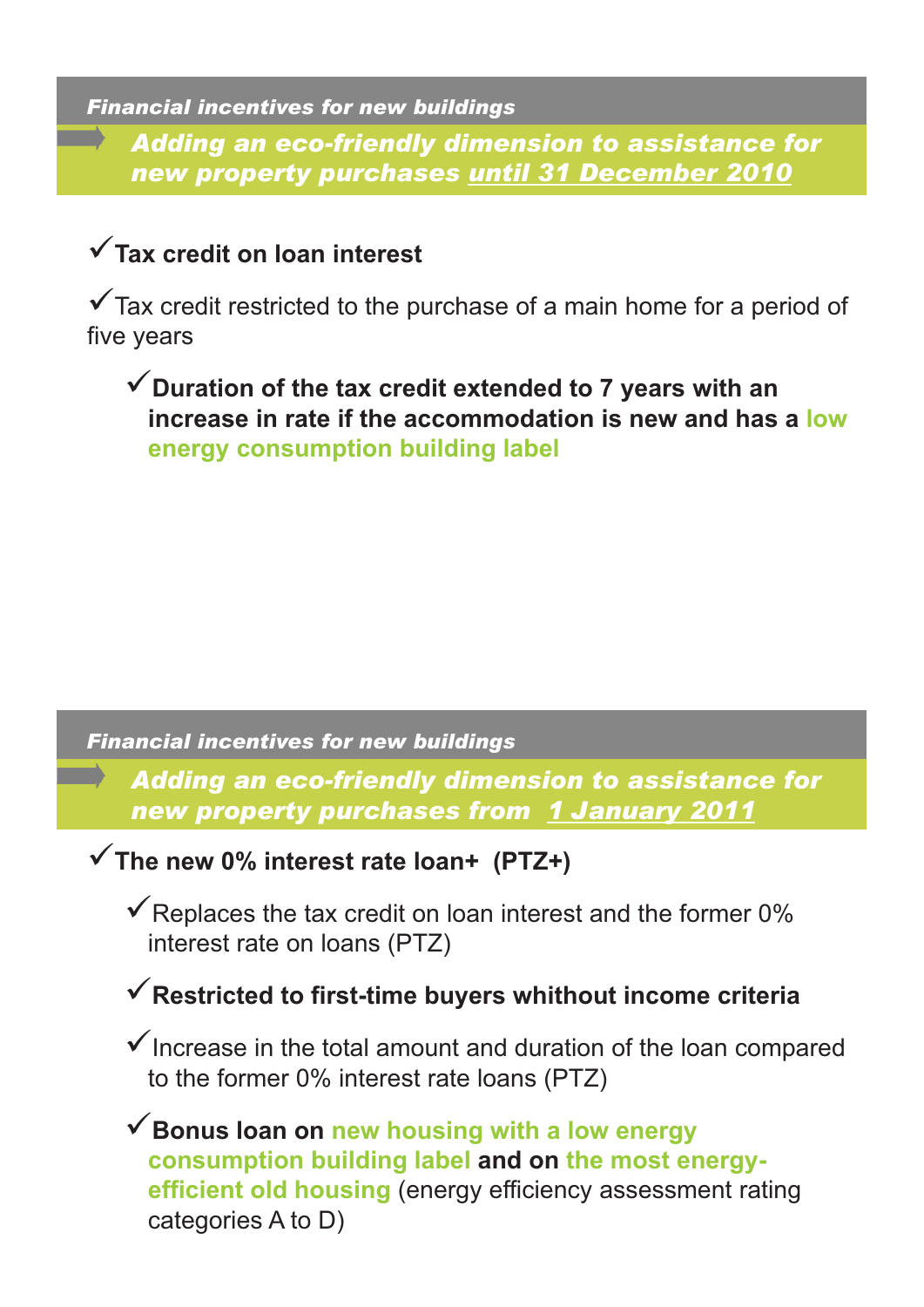### *Financial incentives for new buildings*

*Adding an eco-friendly dimension to assistance for new property purchases until 31 December 2010*

## -**Tax credit on loan interest**

-Tax credit restricted to the purchase of a main home for a period of five years

-**Duration of the tax credit extended to 7 years with an increase in rate if the accommodation is new and has a low energy consumption building label**

### *Financial incentives for new buildings*

*Adding an eco-friendly dimension to assistance for new property purchases from 1 January 2011*

-**The new 0% interest rate loan+ (PTZ+)**

-Replaces the tax credit on loan interest and the former 0% interest rate on loans (PTZ)

## -**Restricted to first-time buyers whithout income criteria**

V Increase in the total amount and duration of the loan compared to the former 0% interest rate loans (PTZ)

-**Bonus loan on new housing with a low energy consumption building label and on the most energyefficient old housing** (energy efficiency assessment rating categories A to D)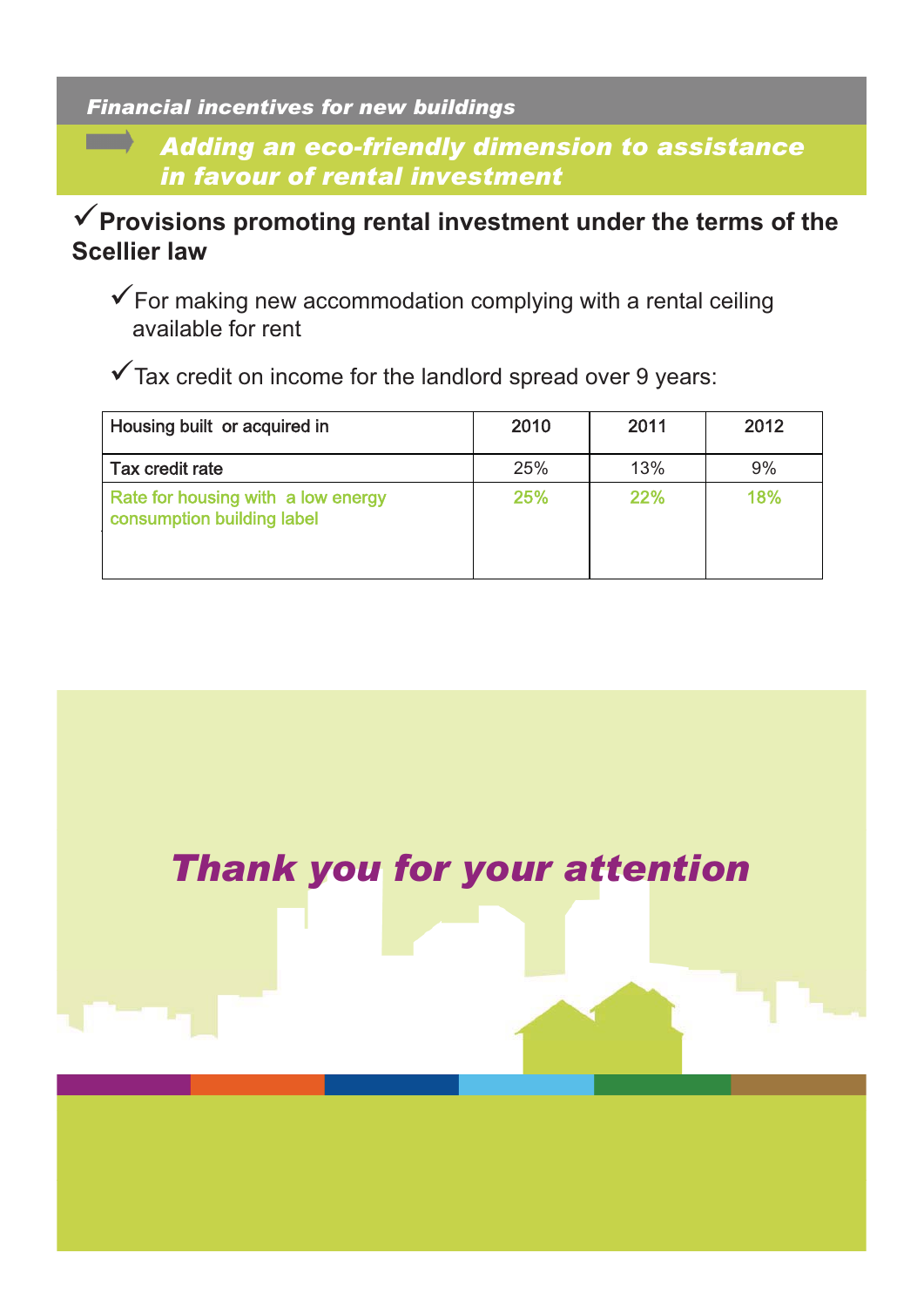### *Financial incentives for new buildings*

**The Company** 

*Adding an eco-friendly dimension to assistance in favour of rental investment*

### -**Provisions promoting rental investment under the terms of the Scellier law**

-For making new accommodation complying with a rental ceiling available for rent

-Tax credit on income for the landlord spread over 9 years:

| Housing built or acquired in                                     | 2010 | 2011 | 2012 |
|------------------------------------------------------------------|------|------|------|
| Tax credit rate                                                  | 25%  | 13%  | 9%   |
| Rate for housing with a low energy<br>consumption building label | 25%  | 22%  | 18%  |

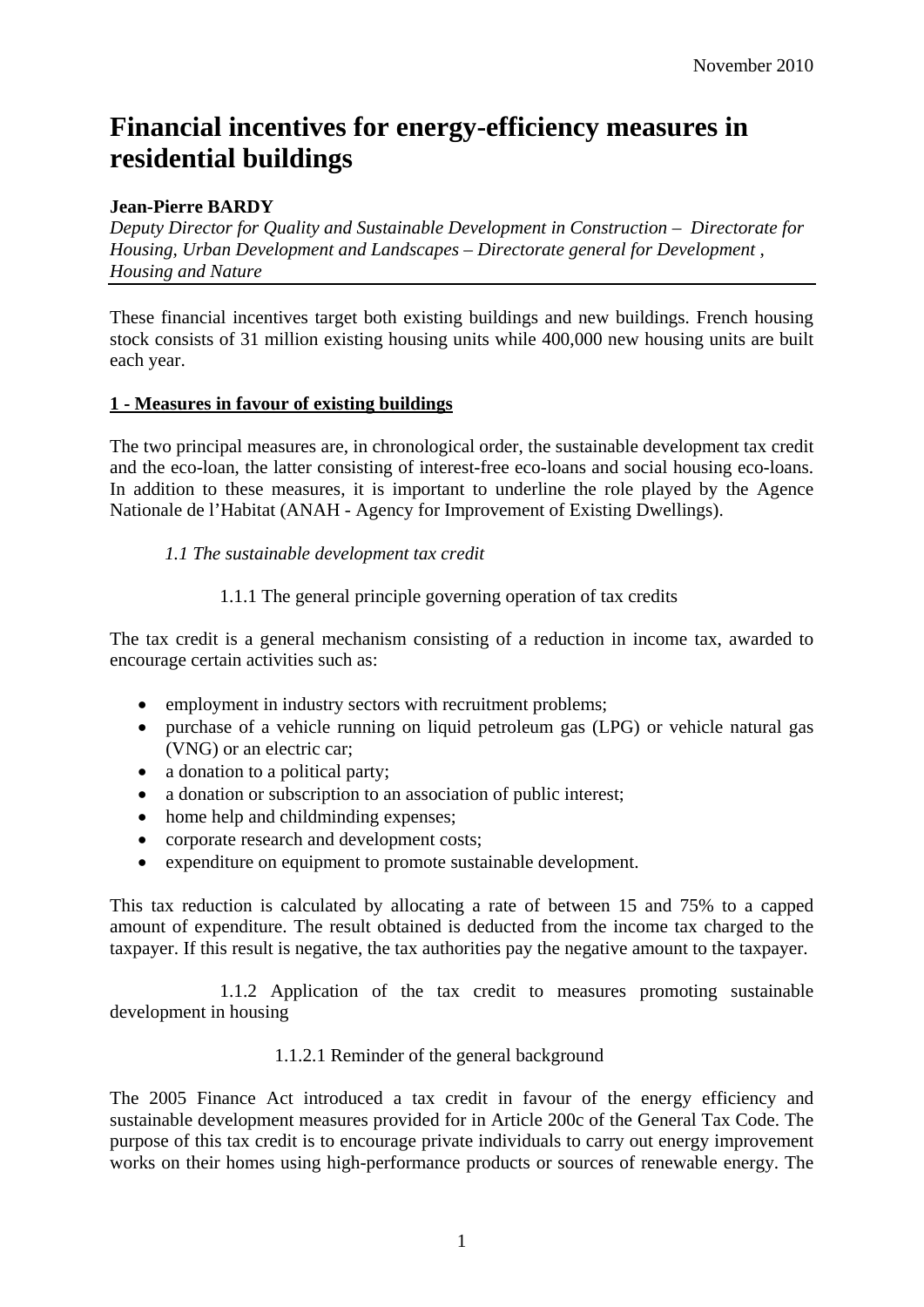### **Financial incentives for energy-efficiency measures in residential buildings**

### **Jean-Pierre BARDY**

*Deputy Director for Quality and Sustainable Development in Construction – Directorate for Housing, Urban Development and Landscapes – Directorate general for Development , Housing and Nature* 

These financial incentives target both existing buildings and new buildings. French housing stock consists of 31 million existing housing units while 400,000 new housing units are built each year.

### **1 - Measures in favour of existing buildings**

The two principal measures are, in chronological order, the sustainable development tax credit and the eco-loan, the latter consisting of interest-free eco-loans and social housing eco-loans. In addition to these measures, it is important to underline the role played by the Agence Nationale de l'Habitat (ANAH - Agency for Improvement of Existing Dwellings).

### *1.1 The sustainable development tax credit*

1.1.1 The general principle governing operation of tax credits

The tax credit is a general mechanism consisting of a reduction in income tax, awarded to encourage certain activities such as:

- employment in industry sectors with recruitment problems;
- purchase of a vehicle running on liquid petroleum gas (LPG) or vehicle natural gas (VNG) or an electric car;
- a donation to a political party;
- a donation or subscription to an association of public interest;
- home help and childminding expenses;
- corporate research and development costs;
- expenditure on equipment to promote sustainable development.

This tax reduction is calculated by allocating a rate of between 15 and 75% to a capped amount of expenditure. The result obtained is deducted from the income tax charged to the taxpayer. If this result is negative, the tax authorities pay the negative amount to the taxpayer.

 1.1.2 Application of the tax credit to measures promoting sustainable development in housing

### 1.1.2.1 Reminder of the general background

The 2005 Finance Act introduced a tax credit in favour of the energy efficiency and sustainable development measures provided for in Article 200c of the General Tax Code. The purpose of this tax credit is to encourage private individuals to carry out energy improvement works on their homes using high-performance products or sources of renewable energy. The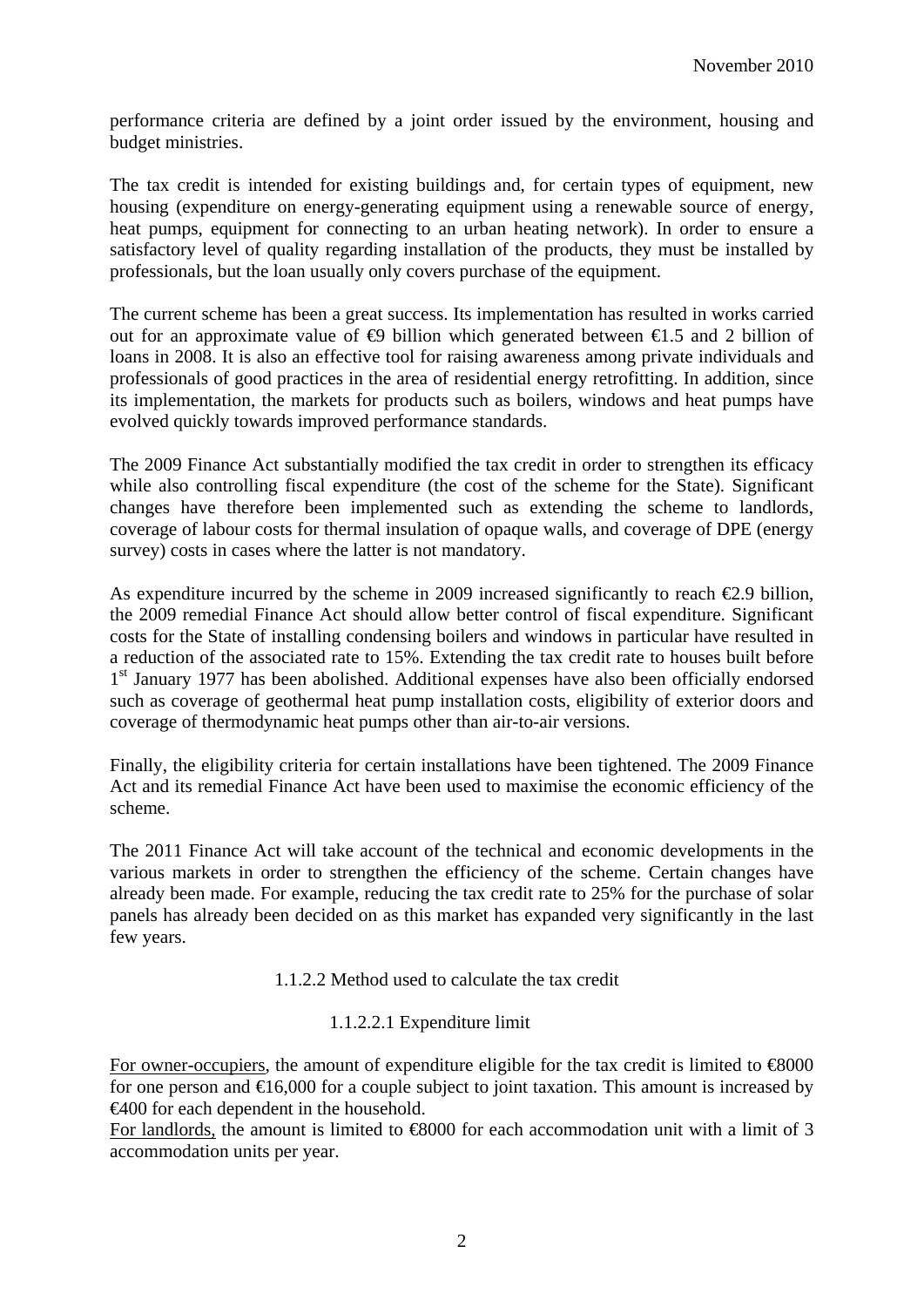performance criteria are defined by a joint order issued by the environment, housing and budget ministries.

The tax credit is intended for existing buildings and, for certain types of equipment, new housing (expenditure on energy-generating equipment using a renewable source of energy, heat pumps, equipment for connecting to an urban heating network). In order to ensure a satisfactory level of quality regarding installation of the products, they must be installed by professionals, but the loan usually only covers purchase of the equipment.

The current scheme has been a great success. Its implementation has resulted in works carried out for an approximate value of  $\oplus$  billion which generated between  $\oplus$  5 and 2 billion of loans in 2008. It is also an effective tool for raising awareness among private individuals and professionals of good practices in the area of residential energy retrofitting. In addition, since its implementation, the markets for products such as boilers, windows and heat pumps have evolved quickly towards improved performance standards.

The 2009 Finance Act substantially modified the tax credit in order to strengthen its efficacy while also controlling fiscal expenditure (the cost of the scheme for the State). Significant changes have therefore been implemented such as extending the scheme to landlords, coverage of labour costs for thermal insulation of opaque walls, and coverage of DPE (energy survey) costs in cases where the latter is not mandatory.

As expenditure incurred by the scheme in 2009 increased significantly to reach  $\epsilon$ 2.9 billion, the 2009 remedial Finance Act should allow better control of fiscal expenditure. Significant costs for the State of installing condensing boilers and windows in particular have resulted in a reduction of the associated rate to 15%. Extending the tax credit rate to houses built before 1<sup>st</sup> January 1977 has been abolished. Additional expenses have also been officially endorsed such as coverage of geothermal heat pump installation costs, eligibility of exterior doors and coverage of thermodynamic heat pumps other than air-to-air versions.

Finally, the eligibility criteria for certain installations have been tightened. The 2009 Finance Act and its remedial Finance Act have been used to maximise the economic efficiency of the scheme.

The 2011 Finance Act will take account of the technical and economic developments in the various markets in order to strengthen the efficiency of the scheme. Certain changes have already been made. For example, reducing the tax credit rate to 25% for the purchase of solar panels has already been decided on as this market has expanded very significantly in the last few years.

1.1.2.2 Method used to calculate the tax credit

### 1.1.2.2.1 Expenditure limit

For owner-occupiers, the amount of expenditure eligible for the tax credit is limited to  $\text{\textcircled{48000}}$ for one person and  $\epsilon 16,000$  for a couple subject to joint taxation. This amount is increased by €400 for each dependent in the household.

For landlords, the amount is limited to  $\infty$  6000 for each accommodation unit with a limit of 3 accommodation units per year.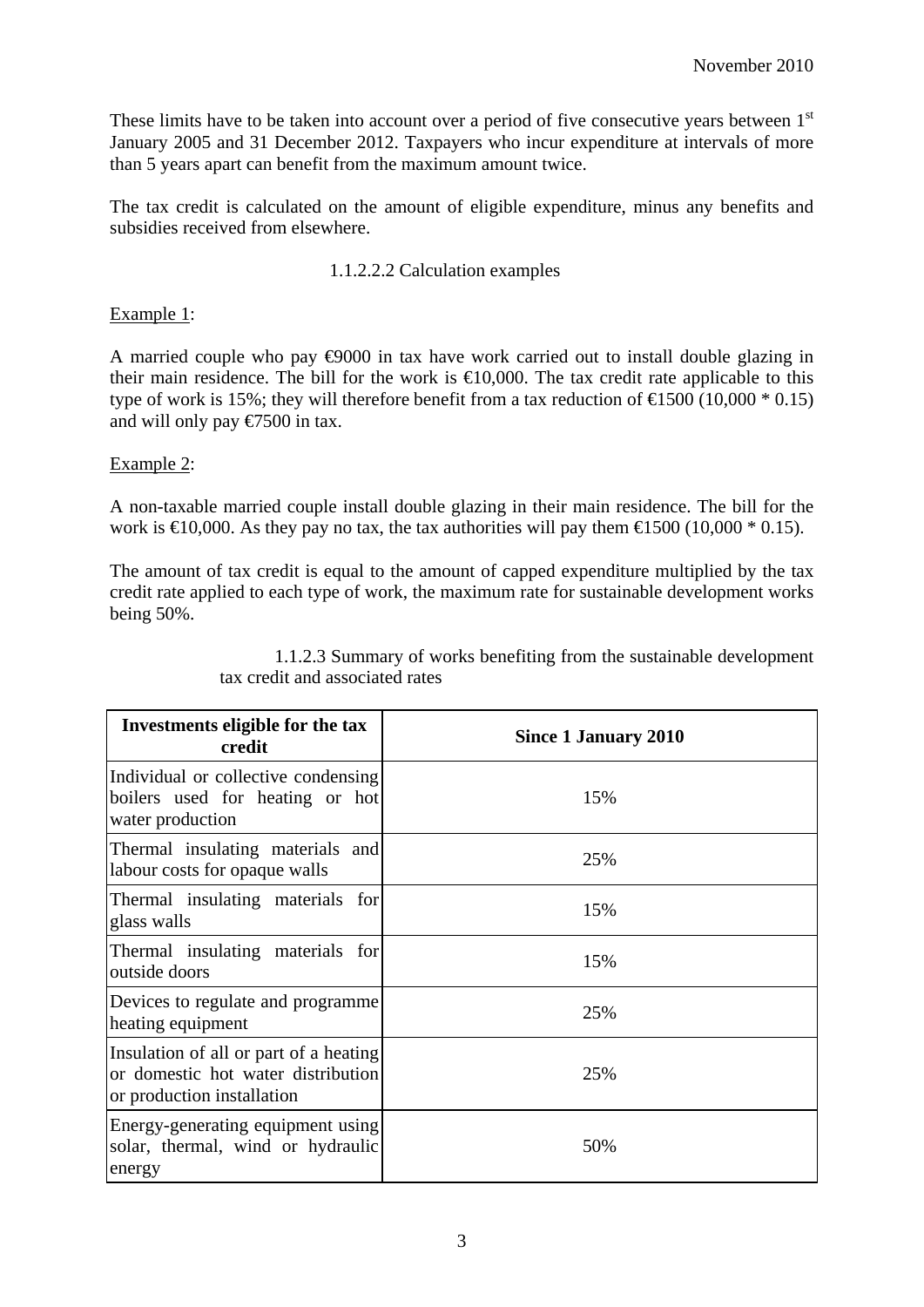These limits have to be taken into account over a period of five consecutive years between 1<sup>st</sup> January 2005 and 31 December 2012. Taxpayers who incur expenditure at intervals of more than 5 years apart can benefit from the maximum amount twice.

The tax credit is calculated on the amount of eligible expenditure, minus any benefits and subsidies received from elsewhere.

### 1.1.2.2.2 Calculation examples

#### Example 1:

A married couple who pay €9000 in tax have work carried out to install double glazing in their main residence. The bill for the work is  $\in 10,000$ . The tax credit rate applicable to this type of work is 15%; they will therefore benefit from a tax reduction of  $\text{£}500 (10,000 * 0.15)$ and will only pay €7500 in tax.

#### Example 2:

A non-taxable married couple install double glazing in their main residence. The bill for the work is  $\in 0.000$ . As they pay no tax, the tax authorities will pay them  $\in 500$  (10,000  $*$  0.15).

The amount of tax credit is equal to the amount of capped expenditure multiplied by the tax credit rate applied to each type of work, the maximum rate for sustainable development works being 50%.

| Investments eligible for the tax<br>credit                                                                 | Since 1 January 2010 |  |
|------------------------------------------------------------------------------------------------------------|----------------------|--|
| Individual or collective condensing<br>boilers used for heating or hot<br>water production                 | 15%                  |  |
| Thermal insulating materials and<br>labour costs for opaque walls                                          | 25%                  |  |
| Thermal insulating materials for<br>glass walls                                                            | 15%                  |  |
| Thermal insulating materials for<br>outside doors                                                          | 15%                  |  |
| Devices to regulate and programme<br>heating equipment                                                     | 25%                  |  |
| Insulation of all or part of a heating<br>or domestic hot water distribution<br>or production installation | 25%                  |  |
| Energy-generating equipment using<br>solar, thermal, wind or hydraulic<br>energy                           | 50%                  |  |

1.1.2.3 Summary of works benefiting from the sustainable development tax credit and associated rates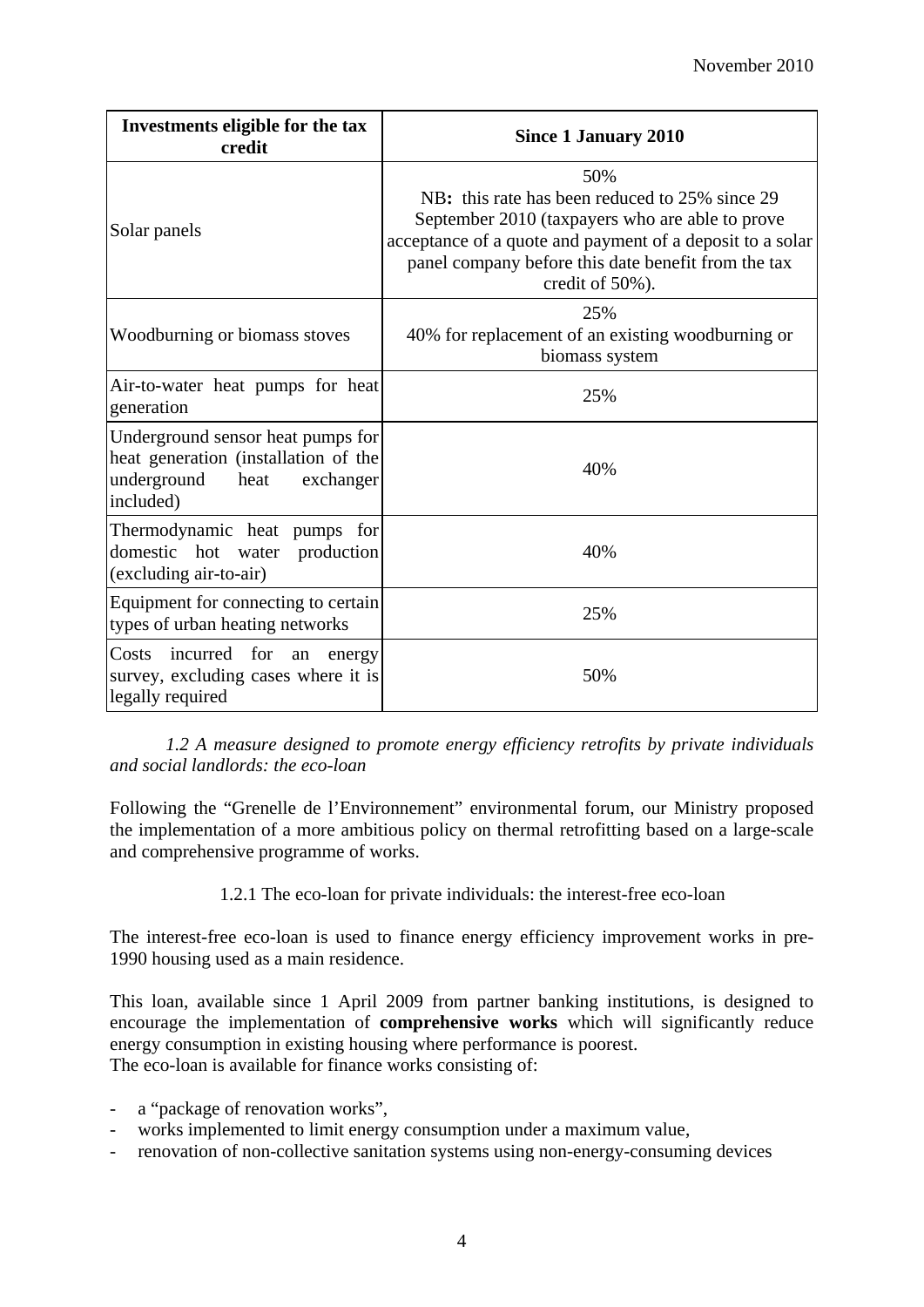| Investments eligible for the tax<br>credit                                                                                 | <b>Since 1 January 2010</b>                                                                                                                                                                                                                     |  |
|----------------------------------------------------------------------------------------------------------------------------|-------------------------------------------------------------------------------------------------------------------------------------------------------------------------------------------------------------------------------------------------|--|
| Solar panels                                                                                                               | 50%<br>NB: this rate has been reduced to 25% since 29<br>September 2010 (taxpayers who are able to prove<br>acceptance of a quote and payment of a deposit to a solar<br>panel company before this date benefit from the tax<br>credit of 50%). |  |
| Woodburning or biomass stoves                                                                                              | 25%<br>40% for replacement of an existing woodburning or<br>biomass system                                                                                                                                                                      |  |
| Air-to-water heat pumps for heat<br>generation                                                                             | 25%                                                                                                                                                                                                                                             |  |
| Underground sensor heat pumps for<br>heat generation (installation of the<br>underground<br>heat<br>exchanger<br>included) | 40%                                                                                                                                                                                                                                             |  |
| Thermodynamic heat pumps for<br>domestic hot water<br>production<br>(excluding air-to-air)                                 | 40%                                                                                                                                                                                                                                             |  |
| Equipment for connecting to certain<br>types of urban heating networks                                                     | 25%                                                                                                                                                                                                                                             |  |
| Costs incurred for<br>an<br>energy<br>survey, excluding cases where it is<br>legally required                              | 50%                                                                                                                                                                                                                                             |  |

*1.2 A measure designed to promote energy efficiency retrofits by private individuals and social landlords: the eco-loan* 

Following the "Grenelle de l'Environnement" environmental forum, our Ministry proposed the implementation of a more ambitious policy on thermal retrofitting based on a large-scale and comprehensive programme of works.

1.2.1 The eco-loan for private individuals: the interest-free eco-loan

The interest-free eco-loan is used to finance energy efficiency improvement works in pre-1990 housing used as a main residence.

This loan, available since 1 April 2009 from partner banking institutions, is designed to encourage the implementation of **comprehensive works** which will significantly reduce energy consumption in existing housing where performance is poorest. The eco-loan is available for finance works consisting of:

- a "package of renovation works",
- works implemented to limit energy consumption under a maximum value,
- renovation of non-collective sanitation systems using non-energy-consuming devices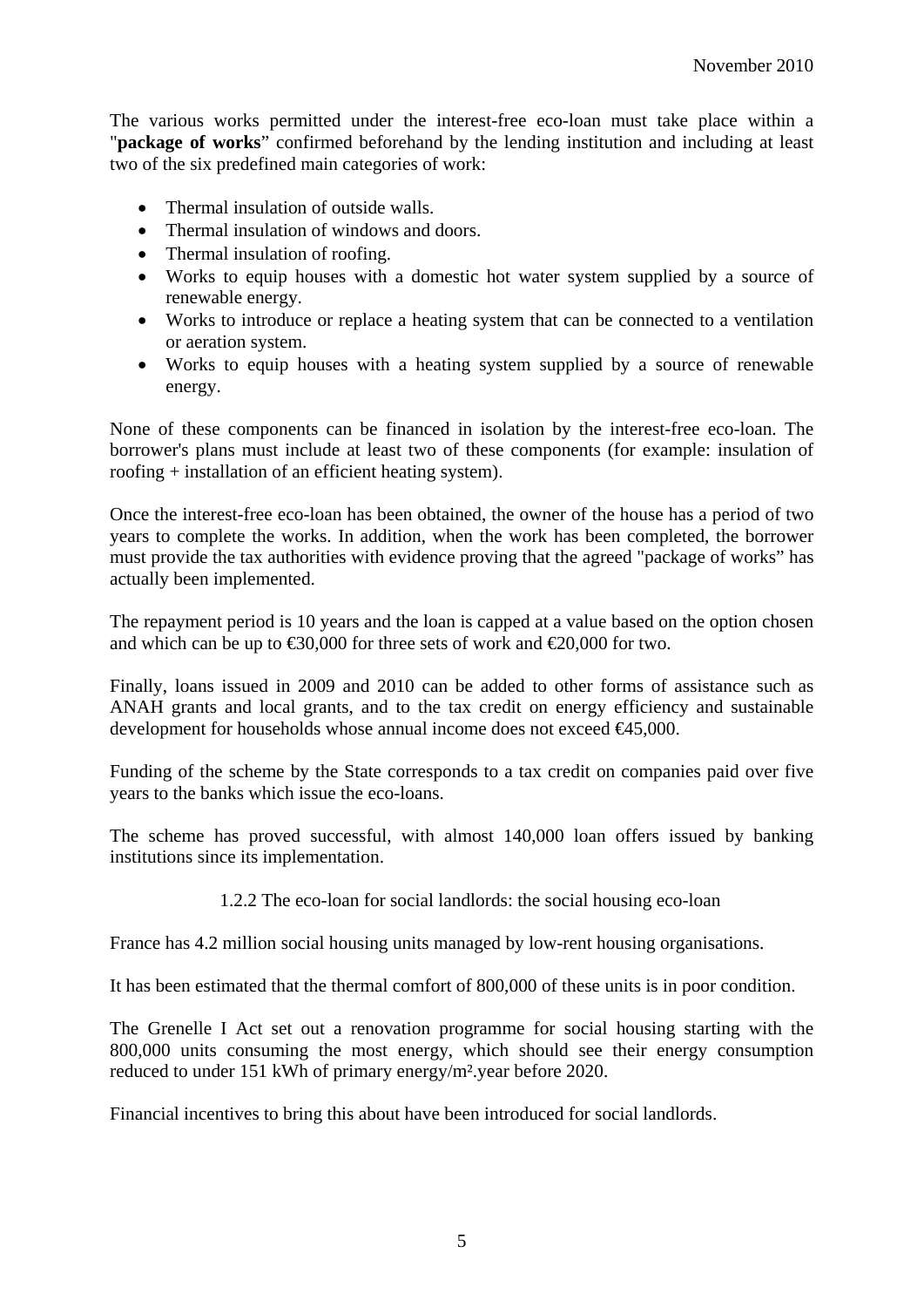The various works permitted under the interest-free eco-loan must take place within a "**package of works**" confirmed beforehand by the lending institution and including at least two of the six predefined main categories of work:

- Thermal insulation of outside walls.
- Thermal insulation of windows and doors.
- Thermal insulation of roofing.
- Works to equip houses with a domestic hot water system supplied by a source of renewable energy.
- Works to introduce or replace a heating system that can be connected to a ventilation or aeration system.
- Works to equip houses with a heating system supplied by a source of renewable energy.

None of these components can be financed in isolation by the interest-free eco-loan. The borrower's plans must include at least two of these components (for example: insulation of roofing + installation of an efficient heating system).

Once the interest-free eco-loan has been obtained, the owner of the house has a period of two years to complete the works. In addition, when the work has been completed, the borrower must provide the tax authorities with evidence proving that the agreed "package of works" has actually been implemented.

The repayment period is 10 years and the loan is capped at a value based on the option chosen and which can be up to  $\text{\textsterling}30,000$  for three sets of work and  $\text{\textsterling}20,000$  for two.

Finally, loans issued in 2009 and 2010 can be added to other forms of assistance such as ANAH grants and local grants, and to the tax credit on energy efficiency and sustainable development for households whose annual income does not exceed €45,000.

Funding of the scheme by the State corresponds to a tax credit on companies paid over five years to the banks which issue the eco-loans.

The scheme has proved successful, with almost 140,000 loan offers issued by banking institutions since its implementation.

1.2.2 The eco-loan for social landlords: the social housing eco-loan

France has 4.2 million social housing units managed by low-rent housing organisations.

It has been estimated that the thermal comfort of 800,000 of these units is in poor condition.

The Grenelle I Act set out a renovation programme for social housing starting with the 800,000 units consuming the most energy, which should see their energy consumption reduced to under 151 kWh of primary energy/m².year before 2020.

Financial incentives to bring this about have been introduced for social landlords.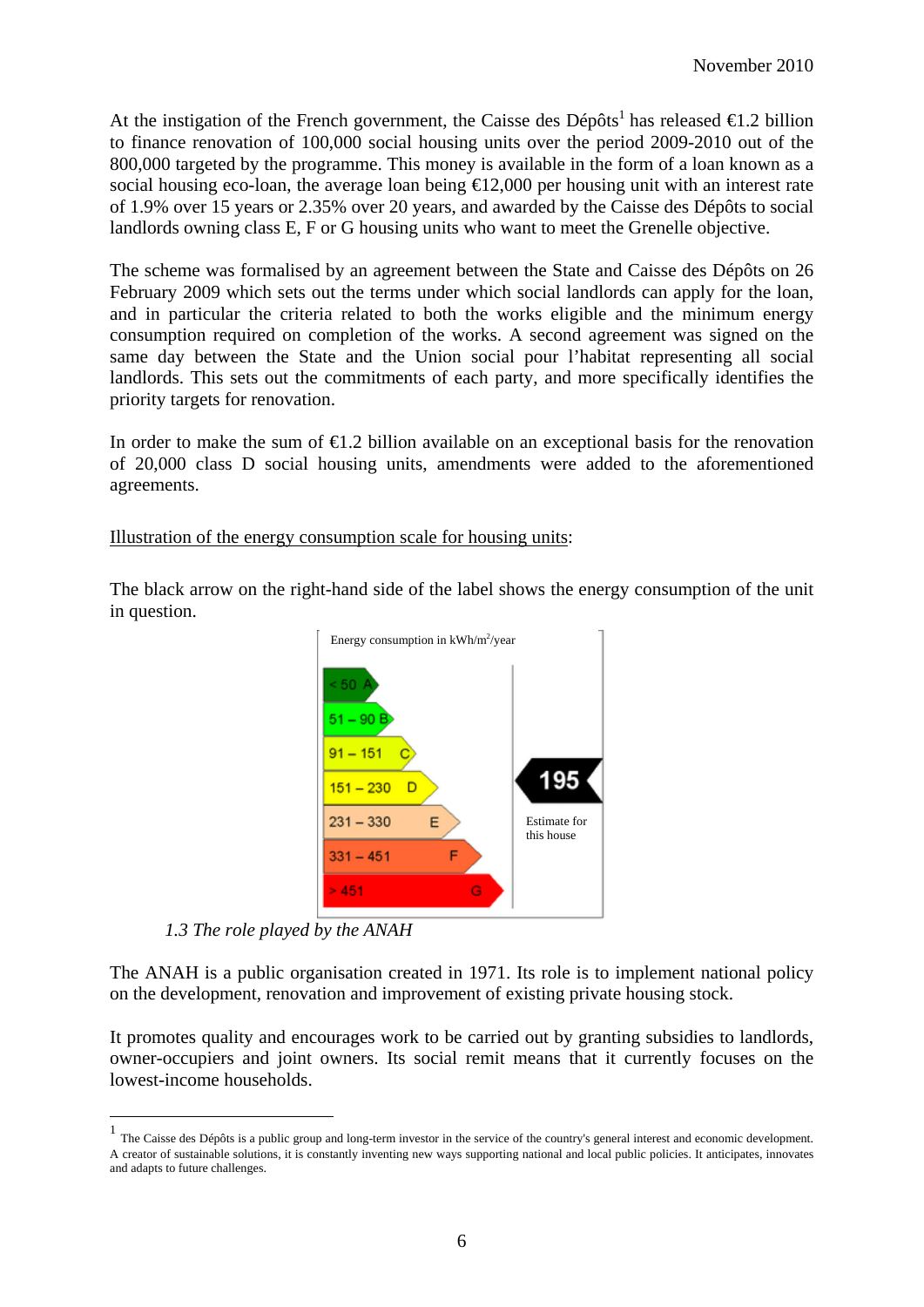At the instigation of the French government, the Caisse des Dépôts<sup>1</sup> has released  $\epsilon$ 1.2 billion to finance renovation of 100,000 social housing units over the period 2009-2010 out of the 800,000 targeted by the programme. This money is available in the form of a loan known as a social housing eco-loan, the average loan being  $\bigoplus$  2,000 per housing unit with an interest rate of 1.9% over 15 years or 2.35% over 20 years, and awarded by the Caisse des Dépôts to social landlords owning class E, F or G housing units who want to meet the Grenelle objective.

The scheme was formalised by an agreement between the State and Caisse des Dépôts on 26 February 2009 which sets out the terms under which social landlords can apply for the loan, and in particular the criteria related to both the works eligible and the minimum energy consumption required on completion of the works. A second agreement was signed on the same day between the State and the Union social pour l'habitat representing all social landlords. This sets out the commitments of each party, and more specifically identifies the priority targets for renovation.

In order to make the sum of  $\epsilon$ 1.2 billion available on an exceptional basis for the renovation of 20,000 class D social housing units, amendments were added to the aforementioned agreements.

Illustration of the energy consumption scale for housing units:

The black arrow on the right-hand side of the label shows the energy consumption of the unit in question.



*1.3 The role played by the ANAH*

The ANAH is a public organisation created in 1971. Its role is to implement national policy on the development, renovation and improvement of existing private housing stock.

It promotes quality and encourages work to be carried out by granting subsidies to landlords, owner-occupiers and joint owners. Its social remit means that it currently focuses on the lowest-income households.

The Caisse des Dépôts is a public group and long-term investor in the service of the country's general interest and economic development. A creator of sustainable solutions, it is constantly inventing new ways supporting national and local public policies. It anticipates, innovates and adapts to future challenges.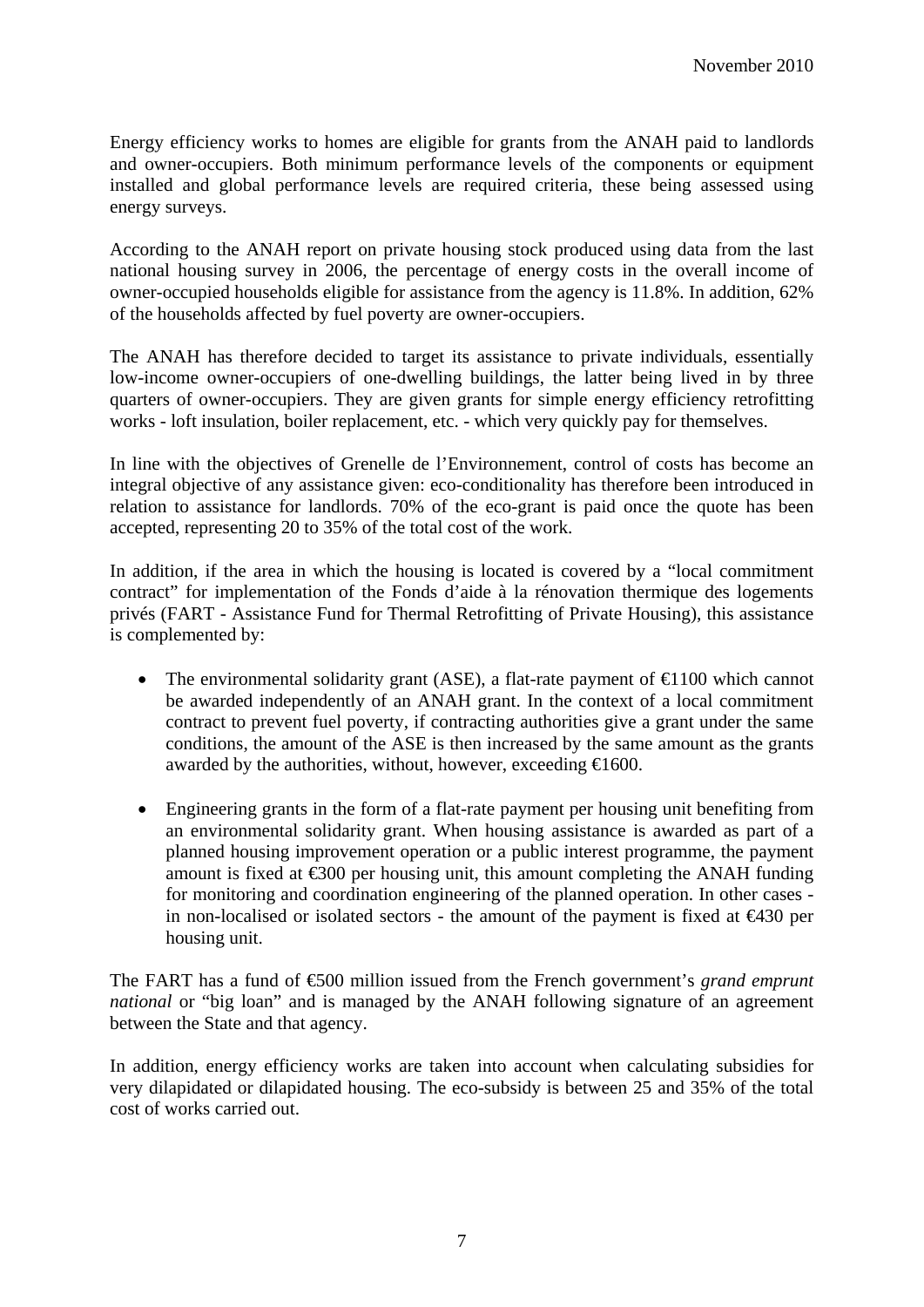Energy efficiency works to homes are eligible for grants from the ANAH paid to landlords and owner-occupiers. Both minimum performance levels of the components or equipment installed and global performance levels are required criteria, these being assessed using energy surveys.

According to the ANAH report on private housing stock produced using data from the last national housing survey in 2006, the percentage of energy costs in the overall income of owner-occupied households eligible for assistance from the agency is 11.8%. In addition, 62% of the households affected by fuel poverty are owner-occupiers.

The ANAH has therefore decided to target its assistance to private individuals, essentially low-income owner-occupiers of one-dwelling buildings, the latter being lived in by three quarters of owner-occupiers. They are given grants for simple energy efficiency retrofitting works - loft insulation, boiler replacement, etc. - which very quickly pay for themselves.

In line with the objectives of Grenelle de l'Environnement, control of costs has become an integral objective of any assistance given: eco-conditionality has therefore been introduced in relation to assistance for landlords. 70% of the eco-grant is paid once the quote has been accepted, representing 20 to 35% of the total cost of the work.

In addition, if the area in which the housing is located is covered by a "local commitment contract" for implementation of the Fonds d'aide à la rénovation thermique des logements privés (FART - Assistance Fund for Thermal Retrofitting of Private Housing), this assistance is complemented by:

- The environmental solidarity grant (ASE), a flat-rate payment of  $\bigoplus$  100 which cannot be awarded independently of an ANAH grant. In the context of a local commitment contract to prevent fuel poverty, if contracting authorities give a grant under the same conditions, the amount of the ASE is then increased by the same amount as the grants awarded by the authorities, without, however, exceeding  $\in 1600$ .
- Engineering grants in the form of a flat-rate payment per housing unit benefiting from an environmental solidarity grant. When housing assistance is awarded as part of a planned housing improvement operation or a public interest programme, the payment amount is fixed at  $\epsilon$ 300 per housing unit, this amount completing the ANAH funding for monitoring and coordination engineering of the planned operation. In other cases in non-localised or isolated sectors - the amount of the payment is fixed at  $\epsilon$ 430 per housing unit.

The FART has a fund of €500 million issued from the French government's *grand emprunt national* or "big loan" and is managed by the ANAH following signature of an agreement between the State and that agency.

In addition, energy efficiency works are taken into account when calculating subsidies for very dilapidated or dilapidated housing. The eco-subsidy is between 25 and 35% of the total cost of works carried out.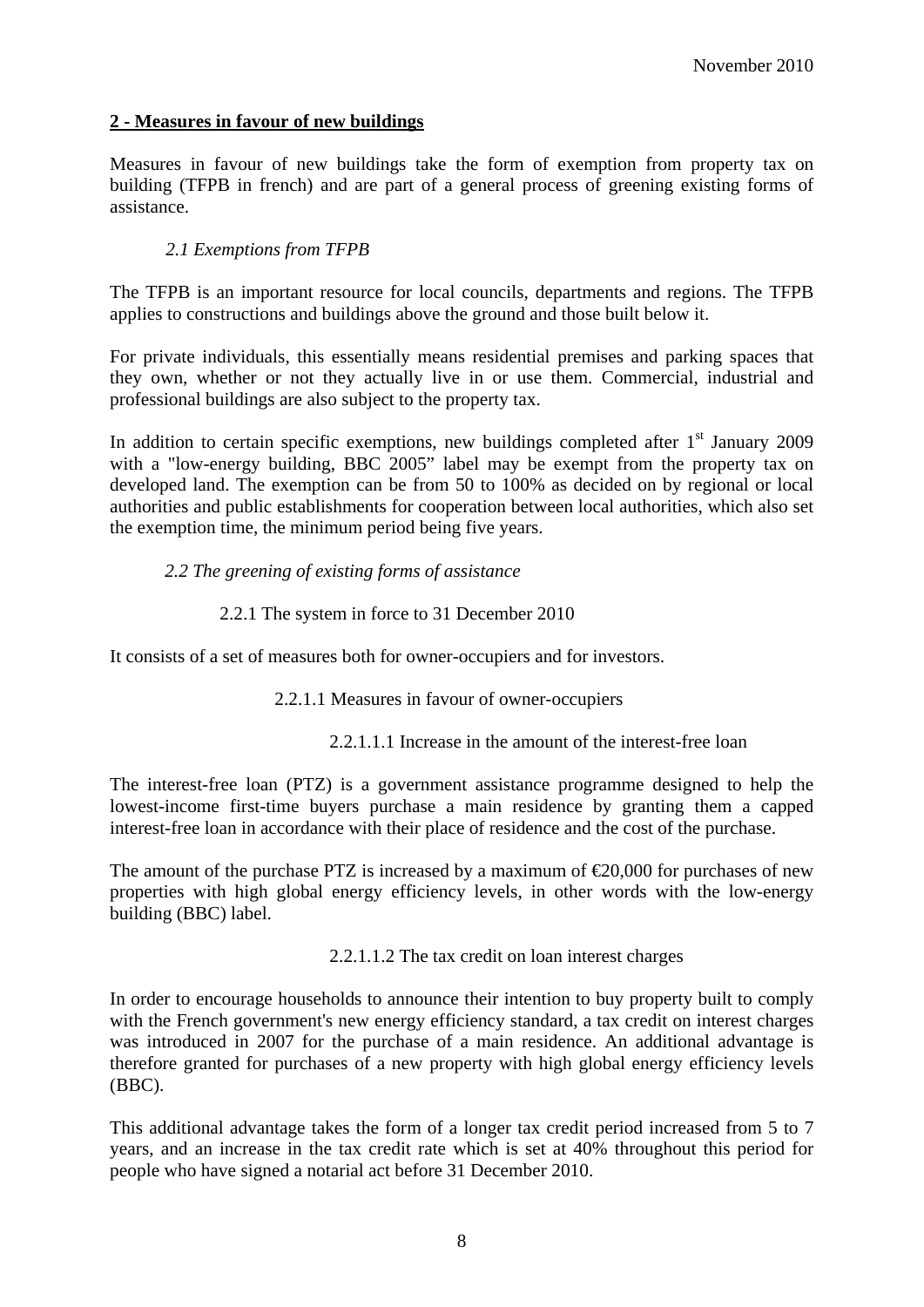### **2 - Measures in favour of new buildings**

Measures in favour of new buildings take the form of exemption from property tax on building (TFPB in french) and are part of a general process of greening existing forms of assistance.

#### *2.1 Exemptions from TFPB*

The TFPB is an important resource for local councils, departments and regions. The TFPB applies to constructions and buildings above the ground and those built below it.

For private individuals, this essentially means residential premises and parking spaces that they own, whether or not they actually live in or use them. Commercial, industrial and professional buildings are also subject to the property tax.

In addition to certain specific exemptions, new buildings completed after  $1<sup>st</sup>$  January 2009 with a "low-energy building, BBC 2005" label may be exempt from the property tax on developed land. The exemption can be from 50 to 100% as decided on by regional or local authorities and public establishments for cooperation between local authorities, which also set the exemption time, the minimum period being five years.

#### *2.2 The greening of existing forms of assistance*

#### 2.2.1 The system in force to 31 December 2010

It consists of a set of measures both for owner-occupiers and for investors.

2.2.1.1 Measures in favour of owner-occupiers

2.2.1.1.1 Increase in the amount of the interest-free loan

The interest-free loan (PTZ) is a government assistance programme designed to help the lowest-income first-time buyers purchase a main residence by granting them a capped interest-free loan in accordance with their place of residence and the cost of the purchase.

The amount of the purchase PTZ is increased by a maximum of  $\epsilon$ 20,000 for purchases of new properties with high global energy efficiency levels, in other words with the low-energy building (BBC) label.

2.2.1.1.2 The tax credit on loan interest charges

In order to encourage households to announce their intention to buy property built to comply with the French government's new energy efficiency standard, a tax credit on interest charges was introduced in 2007 for the purchase of a main residence. An additional advantage is therefore granted for purchases of a new property with high global energy efficiency levels (BBC).

This additional advantage takes the form of a longer tax credit period increased from 5 to 7 years, and an increase in the tax credit rate which is set at 40% throughout this period for people who have signed a notarial act before 31 December 2010.